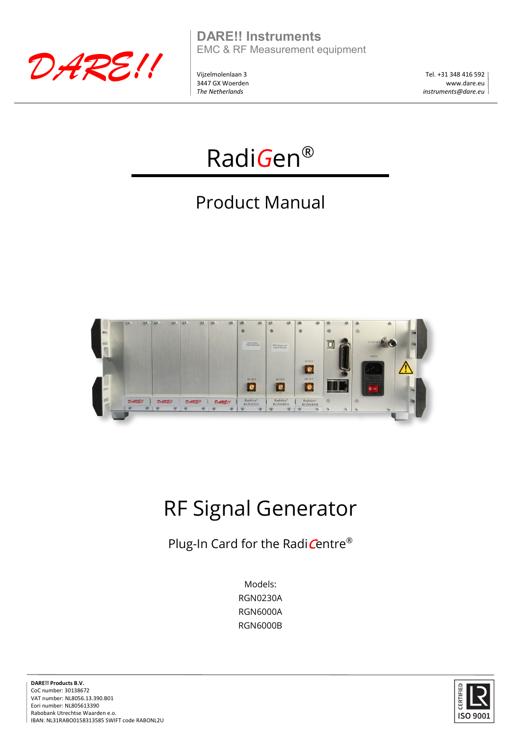

**DARE!! Instruments** EMC & RF Measurement equipment

Vijzelmolenlaan 3 3447 GX Woerden *The Netherlands*

Tel. +31 348 416 592 www.dare.eu *instruments@dare.eu*



# Product Manual



# RF Signal Generator

Plug-In Card for the RadiCentre®

Models: RGN0230A RGN6000A RGN6000B



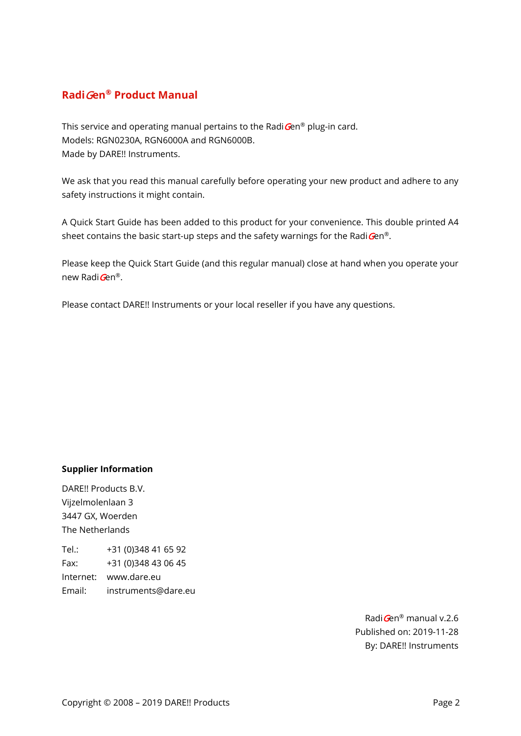# **Radi**G**en® Product Manual**

This service and operating manual pertains to the Radi $\mathbf{G}$ en® plug-in card. Models: RGN0230A, RGN6000A and RGN6000B. Made by DARE!! Instruments.

We ask that you read this manual carefully before operating your new product and adhere to any safety instructions it might contain.

A Quick Start Guide has been added to this product for your convenience. This double printed A4 sheet contains the basic start-up steps and the safety warnings for the Radi $Gen^{\circledast}$ .

Please keep the Quick Start Guide (and this regular manual) close at hand when you operate your new RadiGen<sup>®</sup>.

Please contact DARE!! Instruments or your local reseller if you have any questions.

#### **Supplier Information**

DARE!! Products B.V. Vijzelmolenlaan 3 3447 GX, Woerden The Netherlands

Tel.: +31 (0)348 41 65 92 Fax: +31 (0)348 43 06 45 Internet: www.dare.eu Email: instruments@dare.eu

> RadiGen® manual v.2.6 Published on: 2019-11-28 By: DARE!! Instruments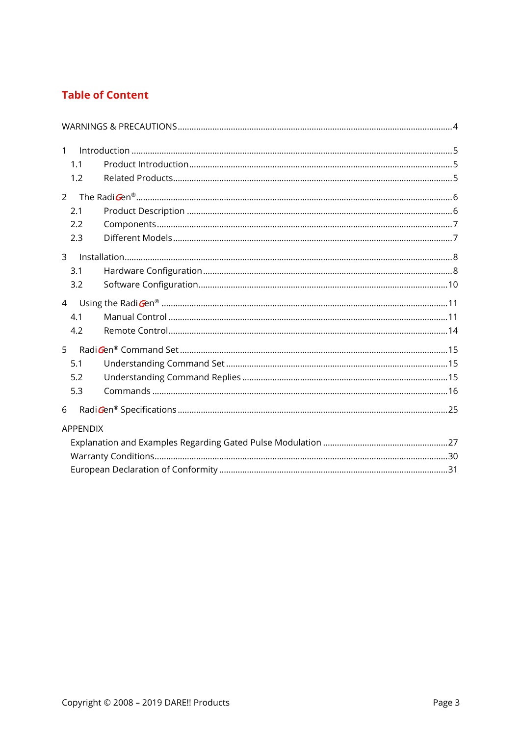# **Table of Content**

| $\mathbf{1}$    |  |
|-----------------|--|
| 1.1             |  |
| 1.2             |  |
| $\mathcal{P}$   |  |
| 2.1             |  |
| 2.2             |  |
| 2.3             |  |
| $\overline{3}$  |  |
| 3.1             |  |
| 3.2             |  |
| $\overline{4}$  |  |
| 4.1             |  |
| 4.2             |  |
| 5               |  |
| 5.1             |  |
| 5.2             |  |
| 5.3             |  |
| 6               |  |
| <b>APPENDIX</b> |  |
|                 |  |
|                 |  |
|                 |  |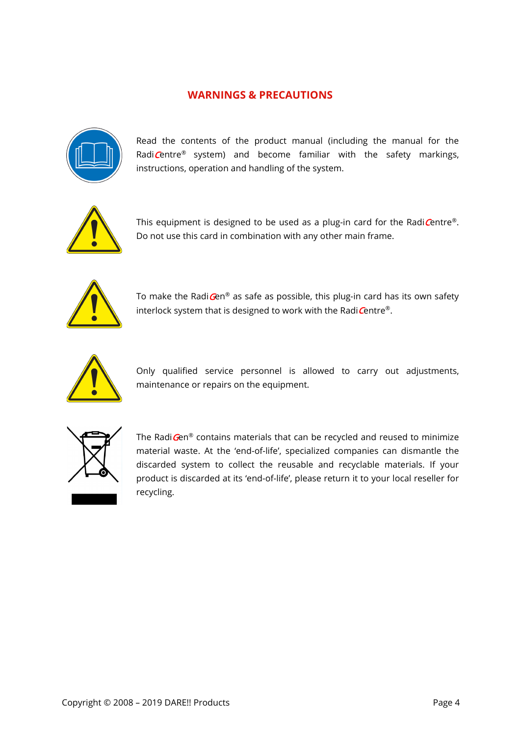# **WARNINGS & PRECAUTIONS**

<span id="page-3-0"></span>

Read the contents of the product manual (including the manual for the RadiCentre<sup>®</sup> system) and become familiar with the safety markings, instructions, operation and handling of the system.



This equipment is designed to be used as a plug-in card for the Radi Centre®. Do not use this card in combination with any other main frame.



To make the Radi $\mathbf{G}$ en® as safe as possible, this plug-in card has its own safety interlock system that is designed to work with the Radi Centre®.



Only qualified service personnel is allowed to carry out adjustments, maintenance or repairs on the equipment.



The Radi Gen® contains materials that can be recycled and reused to minimize material waste. At the 'end-of-life', specialized companies can dismantle the discarded system to collect the reusable and recyclable materials. If your product is discarded at its 'end-of-life', please return it to your local reseller for recycling.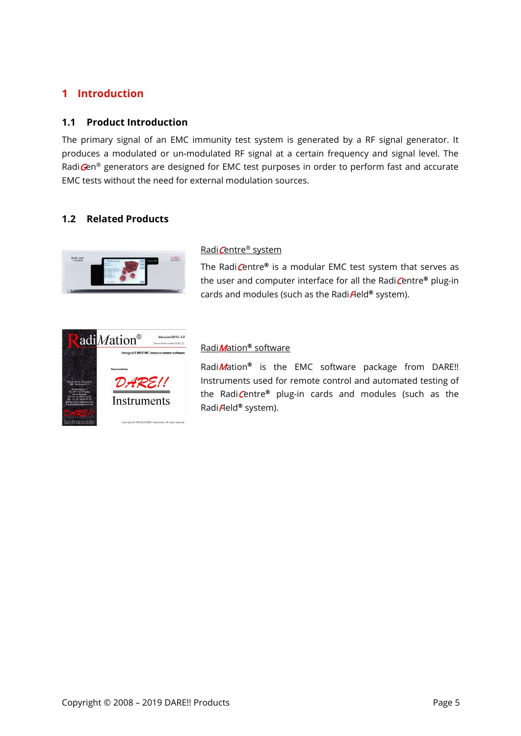# <span id="page-4-0"></span>**1 Introduction**

# <span id="page-4-1"></span>**1.1 Product Introduction**

The primary signal of an EMC immunity test system is generated by a RF signal generator. It produces a modulated or un-modulated RF signal at a certain frequency and signal level. The Radi Gen® generators are designed for EMC test purposes in order to perform fast and accurate EMC tests without the need for external modulation sources.

# <span id="page-4-2"></span>**1.2 Related Products**



#### Radi Centre® system

The RadiCentre**®** is a modular EMC test system that serves as the user and computer interface for all the RadiCentre**®** plug-in cards and modules (such as the RadiField**®** system).



#### RadiMation**®** software

RadiMation**®** is the EMC software package from DARE!! Instruments used for remote control and automated testing of the RadiCentre**®** plug-in cards and modules (such as the RadiField**®** system).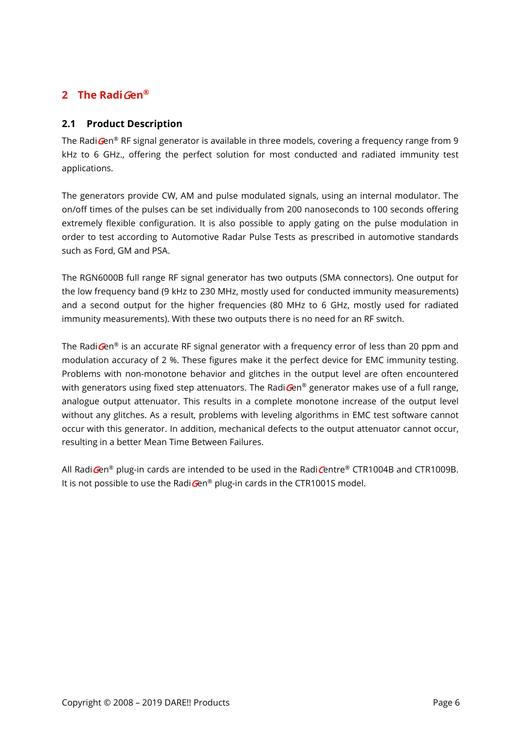# <span id="page-5-0"></span>**2 The Radi**G**en®**

# <span id="page-5-1"></span>**2.1 Product Description**

The Radi $\mathbf{G}\text{en}^{\otimes}$  RF signal generator is available in three models, covering a frequency range from 9 kHz to 6 GHz., offering the perfect solution for most conducted and radiated immunity test applications.

The generators provide CW, AM and pulse modulated signals, using an internal modulator. The on/off times of the pulses can be set individually from 200 nanoseconds to 100 seconds offering extremely flexible configuration. It is also possible to apply gating on the pulse modulation in order to test according to Automotive Radar Pulse Tests as prescribed in automotive standards such as Ford, GM and PSA.

The RGN6000B full range RF signal generator has two outputs (SMA connectors). One output for the low frequency band (9 kHz to 230 MHz, mostly used for conducted immunity measurements) and a second output for the higher frequencies (80 MHz to 6 GHz, mostly used for radiated immunity measurements). With these two outputs there is no need for an RF switch.

The Radi $\mathbf{G}$ en<sup>®</sup> is an accurate RF signal generator with a frequency error of less than 20 ppm and modulation accuracy of 2 %. These figures make it the perfect device for EMC immunity testing. Problems with non-monotone behavior and glitches in the output level are often encountered with generators using fixed step attenuators. The Radi $\mathbf{G}$ en® generator makes use of a full range, analogue output attenuator. This results in a complete monotone increase of the output level without any glitches. As a result, problems with leveling algorithms in EMC test software cannot occur with this generator. In addition, mechanical defects to the output attenuator cannot occur, resulting in a better Mean Time Between Failures.

All Radi $\text{Gen}^{\otimes}$  plug-in cards are intended to be used in the Radi $\text{Centre}^{\otimes}$  CTR1004B and CTR1009B. It is not possible to use the Radi $\mathbf{G}$ en® plug-in cards in the CTR1001S model.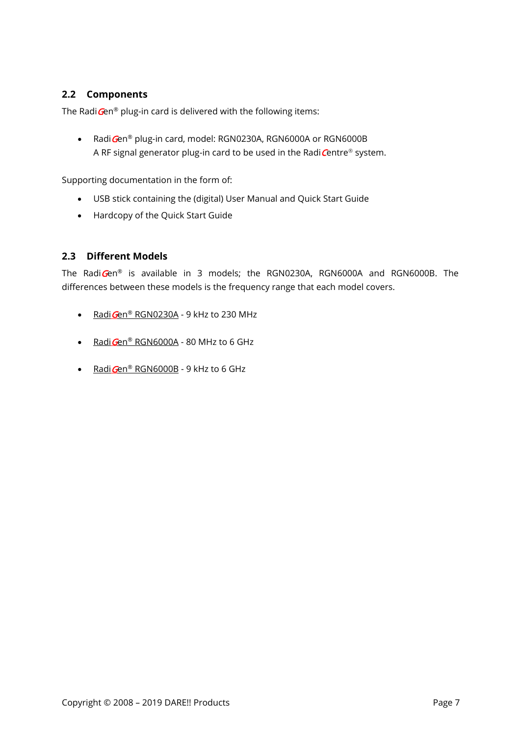# <span id="page-6-0"></span>**2.2 Components**

The Radi $Gen^{\circledast}$  plug-in card is delivered with the following items:

• Radi Gen® plug-in card, model: RGN0230A, RGN6000A or RGN6000B A RF signal generator plug-in card to be used in the Radi $C$ entre® system.

Supporting documentation in the form of:

- USB stick containing the (digital) User Manual and Quick Start Guide
- Hardcopy of the Quick Start Guide

# <span id="page-6-1"></span>**2.3 Different Models**

The RadiGen<sup>®</sup> is available in 3 models; the RGN0230A, RGN6000A and RGN6000B. The differences between these models is the frequency range that each model covers.

- Radi $Gen^{\circledR}$  RGN0230A 9 kHz to 230 MHz
- Radi Gen® RGN6000A 80 MHz to 6 GHz
- RadiGen<sup>®</sup> RGN6000B 9 kHz to 6 GHz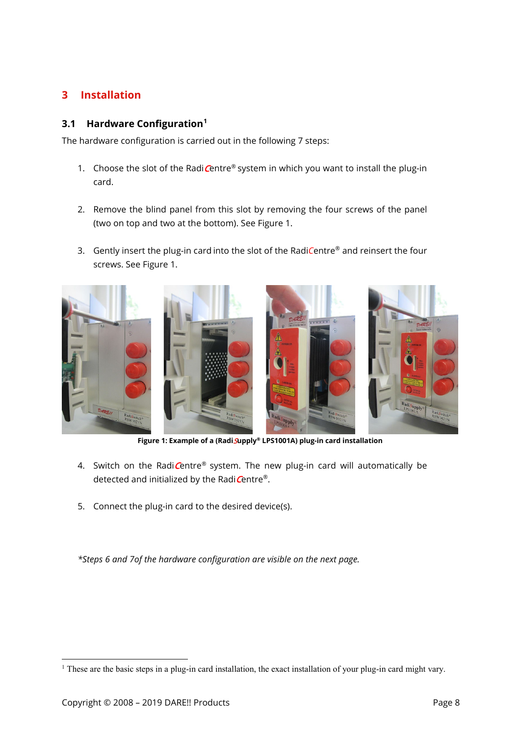# <span id="page-7-0"></span>**3 Installation**

# <span id="page-7-1"></span>**3.1 Hardware Configuration[1](#page-7-3)**

The hardware configuration is carried out in the following 7 steps:

- 1. Choose the slot of the Radi $C$ entre® system in which you want to install the plug-in card.
- 2. Remove the blind panel from this slot by removing the four screws of the panel (two on top and two at the bottom). See [Figure 1.](#page-7-2)
- 3. Gently insert the plug-in card into the slot of the Radi*C*entre® and reinsert the four screws. See [Figure 1.](#page-7-2)



**Figure 1: Example of a (Radi**S**upply® LPS1001A) plug-in card installation**

- <span id="page-7-2"></span>4. Switch on the Radi $C$ entre® system. The new plug-in card will automatically be detected and initialized by the Radi $C$ entre®.
- 5. Connect the plug-in card to the desired device(s).

*\*Steps 6 and 7of the hardware configuration are visible on the next page.*

<span id="page-7-3"></span><sup>&</sup>lt;sup>1</sup> These are the basic steps in a plug-in card installation, the exact installation of your plug-in card might vary.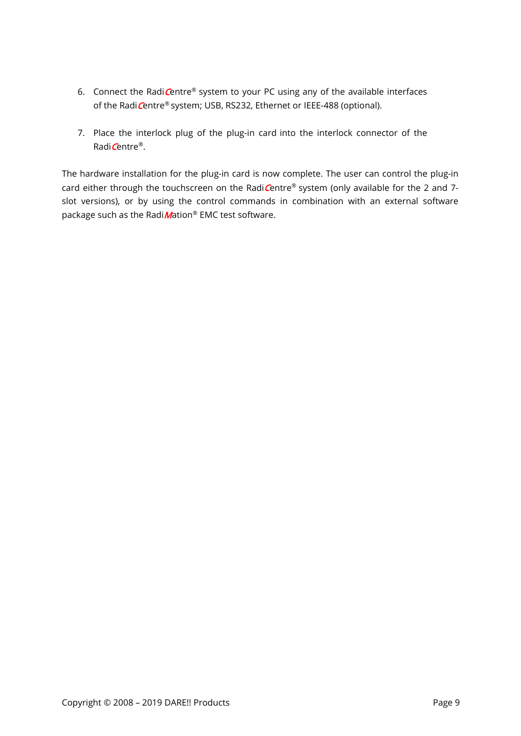- 6. Connect the Radi $C$ entre<sup>®</sup> system to your PC using any of the available interfaces of the Radi Centre® system; USB, RS232, Ethernet or IEEE-488 (optional).
- 7. Place the interlock plug of the plug-in card into the interlock connector of the Radi Centre®.

The hardware installation for the plug-in card is now complete. The user can control the plug-in card either through the touchscreen on the RadiCentre® system (only available for the 2 and 7slot versions), or by using the control commands in combination with an external software package such as the Radi $M$ ation® EMC test software.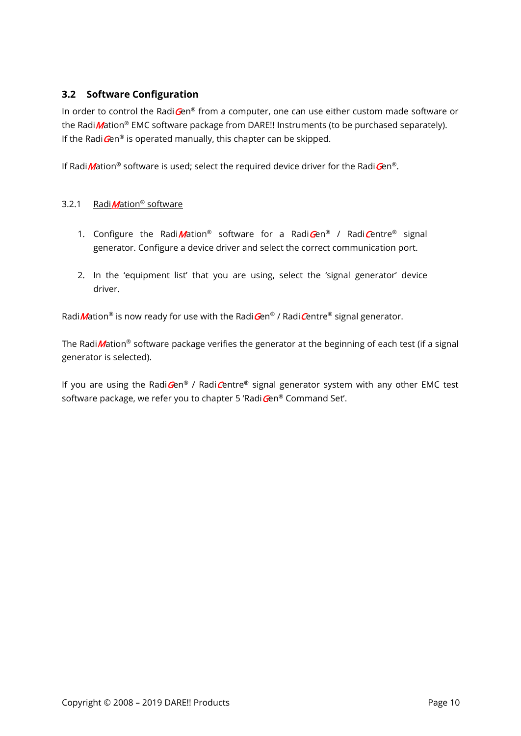# <span id="page-9-0"></span>**3.2 Software Configuration**

In order to control the RadiGen® from a computer, one can use either custom made software or the Radi *M*ation<sup>®</sup> EMC software package from DARE!! Instruments (to be purchased separately). If the Radi $\mathbf{G}$ en<sup>®</sup> is operated manually, this chapter can be skipped.

If Radi *M*ation<sup>®</sup> software is used; select the required device driver for the Radi Gen<sup>®</sup>.

#### 3.2.1 Radi Mation<sup>®</sup> software

- 1. Configure the Radi Mation<sup>®</sup> software for a Radi Gen® / Radi Centre<sup>®</sup> signal generator. Configure a device driver and select the correct communication port.
- 2. In the 'equipment list' that you are using, select the 'signal generator' device driver.

Radi *M*ation<sup>®</sup> is now ready for use with the Radi Gen® / Radi Centre® signal generator.

The Radi *M*ation<sup>®</sup> software package verifies the generator at the beginning of each test (if a signal generator is selected).

If you are using the RadiGen® / RadiCentre**®** signal generator system with any other EMC test software package, we refer you to chapter 5 'Radi Gen® Command Set'.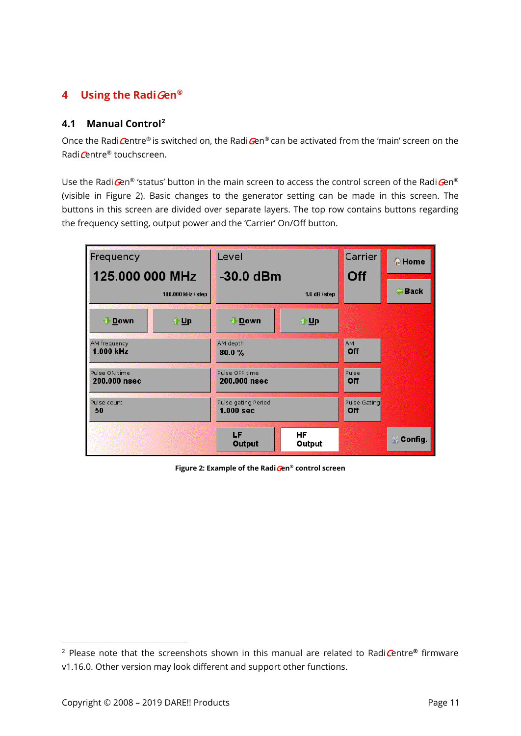# <span id="page-10-0"></span>**4 Using the Radi**G**en®**

# <span id="page-10-1"></span>**4.1 Manual Control[2](#page-10-3)**

Once the Radi Centre® is switched on, the Radi Gen® can be activated from the 'main' screen on the Radi Centre® touchscreen.

Use the Radi $\mathbf{G}$ en® 'status' button in the main screen to access the control screen of the Radi $\mathbf{G}$ en® (visible in [Figure 2\)](#page-10-2). Basic changes to the generator setting can be made in this screen. The buttons in this screen are divided over separate layers. The top row contains buttons regarding the frequency setting, output power and the 'Carrier' On/Off button.



<span id="page-10-2"></span>**Figure 2: Example of the Radi**G**en® control screen**

 $\overline{a}$ 

<span id="page-10-3"></span><sup>2</sup> Please note that the screenshots shown in this manual are related to RadiCentre**®** firmware v1.16.0. Other version may look different and support other functions.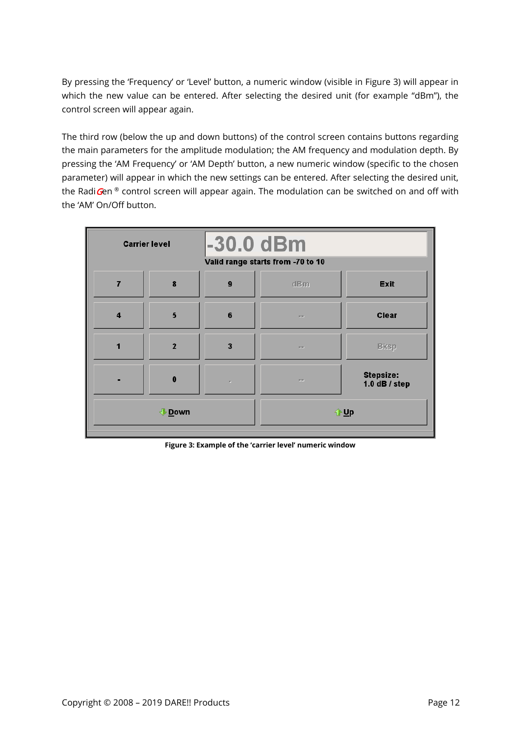By pressing the 'Frequency' or 'Level' button, a numeric window (visible in [Figure 3\)](#page-11-0) will appear in which the new value can be entered. After selecting the desired unit (for example "dBm"), the control screen will appear again.

The third row (below the up and down buttons) of the control screen contains buttons regarding the main parameters for the amplitude modulation; the AM frequency and modulation depth. By pressing the 'AM Frequency' or 'AM Depth' button, a new numeric window (specific to the chosen parameter) will appear in which the new settings can be entered. After selecting the desired unit, the RadiGen<sup>®</sup> control screen will appear again. The modulation can be switched on and off with the 'AM' On/Off button.

| -30.0 dBm<br><b>Carrier level</b><br>Valid range starts from -70 to 10 |                |   |             |                                     |
|------------------------------------------------------------------------|----------------|---|-------------|-------------------------------------|
|                                                                        | 8              | 9 | dBm         | <b>Exit</b>                         |
| $\overline{\mathbf{4}}$                                                | 5              | 6 | payer.      | <b>Clear</b>                        |
|                                                                        | $\overline{2}$ | 3 | <b>CONT</b> | <b>B</b> ksp                        |
|                                                                        | 0              | × | <b>PERS</b> | <b>Stepsize:</b><br>1.0 $dB / step$ |
| <b>Down</b>                                                            |                |   | $\bigoplus$ |                                     |

<span id="page-11-0"></span>**Figure 3: Example of the 'carrier level' numeric window**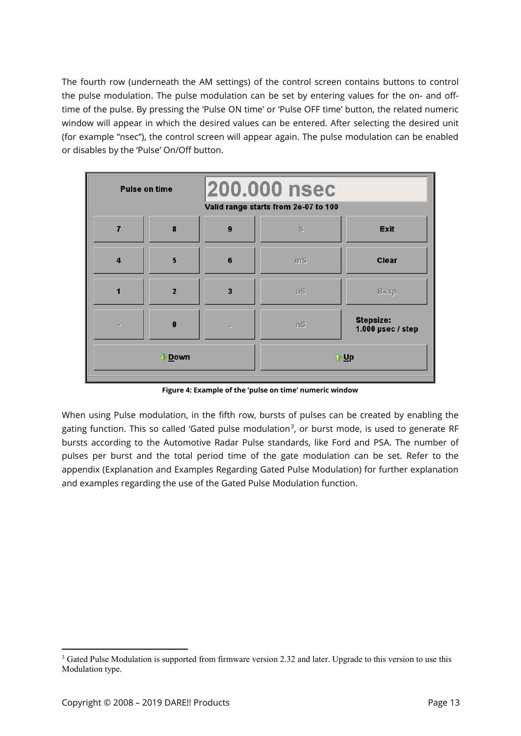The fourth row (underneath the AM settings) of the control screen contains buttons to control the pulse modulation. The pulse modulation can be set by entering values for the on- and offtime of the pulse. By pressing the 'Pulse ON time' or 'Pulse OFF time' button, the related numeric window will appear in which the desired values can be entered. After selecting the desired unit (for example "nsec"), the control screen will appear again. The pulse modulation can be enabled or disables by the 'Pulse' On/Off button.

| <b>200.000 nsec</b><br><b>Pulse on time</b><br>Valid range starts from 2e-07 to 100 |                |                               |            |                                     |
|-------------------------------------------------------------------------------------|----------------|-------------------------------|------------|-------------------------------------|
| 7                                                                                   | 8              | 9                             | s          | <b>Exit</b>                         |
| $\overline{\mathbf{4}}$                                                             | 5              | 6                             | mS         | Clear                               |
| ۴                                                                                   | $\overline{2}$ | 3                             | $u$ s      | <b>Bksp</b>                         |
| ×.                                                                                  | $\bf{0}$       | $\mathcal{F}_{\mathcal{F}}$ . | nS         | Stepsize:<br>1.000 $\mu$ sec / step |
| <b>∜</b> Down                                                                       |                |                               | <b>↑Up</b> |                                     |

**Figure 4: Example of the 'pulse on time' numeric window**

When using Pulse modulation, in the fifth row, bursts of pulses can be created by enabling the gating function. This so called 'Gated pulse modulation<sup>[3](#page-12-0)</sup>, or burst mode, is used to generate RF bursts according to the Automotive Radar Pulse standards, like Ford and PSA. The number of pulses per burst and the total period time of the gate modulation can be set. Refer to the appendix (Explanation and Examples Regarding Gated Pulse Modulation) for further explanation and examples regarding the use of the Gated Pulse Modulation function.

<span id="page-12-0"></span><sup>&</sup>lt;sup>3</sup> Gated Pulse Modulation is supported from firmware version 2.32 and later. Upgrade to this version to use this Modulation type.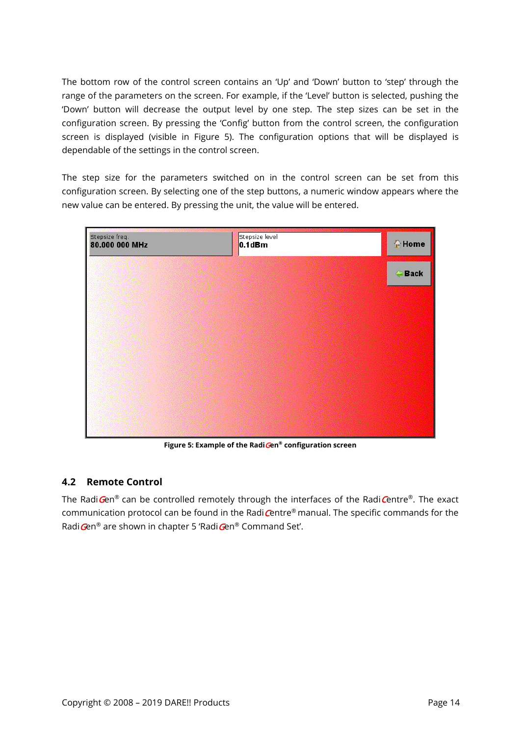The bottom row of the control screen contains an 'Up' and 'Down' button to 'step' through the range of the parameters on the screen. For example, if the 'Level' button is selected, pushing the 'Down' button will decrease the output level by one step. The step sizes can be set in the configuration screen. By pressing the 'Config' button from the control screen, the configuration screen is displayed (visible in [Figure 5\)](#page-13-1). The configuration options that will be displayed is dependable of the settings in the control screen.

The step size for the parameters switched on in the control screen can be set from this configuration screen. By selecting one of the step buttons, a numeric window appears where the new value can be entered. By pressing the unit, the value will be entered.



**Figure 5: Example of the Radi**G**en® configuration screen**

# <span id="page-13-1"></span><span id="page-13-0"></span>**4.2 Remote Control**

The Radi $Gen^{\circledast}$  can be controlled remotely through the interfaces of the RadiCentre<sup>®</sup>. The exact communication protocol can be found in the Radi  $C$ entre® manual. The specific commands for the Radi Gen® are shown in chapter 5 'Radi Gen® Command Set'.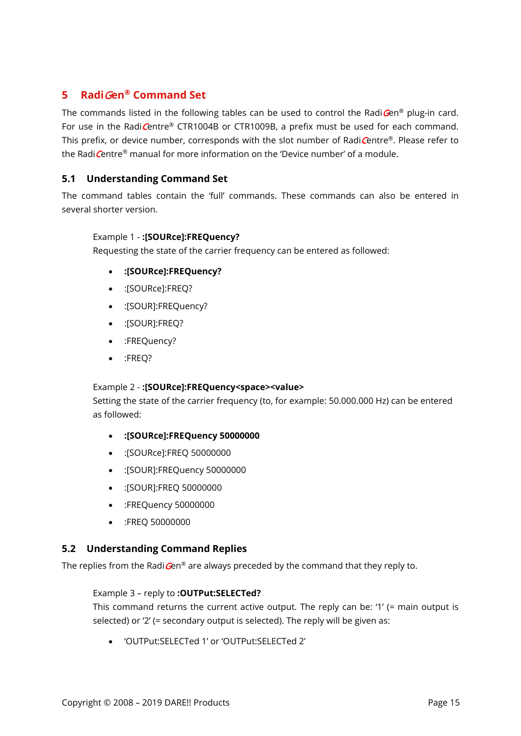# <span id="page-14-0"></span>**5 Radi**G**en® Command Set**

The commands listed in the following tables can be used to control the Radi $\mathbf{G}$ en<sup>®</sup> plug-in card. For use in the RadiCentre® CTR1004B or CTR1009B, a prefix must be used for each command. This prefix, or device number, corresponds with the slot number of RadiCentre®. Please refer to the Radi Centre® manual for more information on the 'Device number' of a module.

# <span id="page-14-1"></span>**5.1 Understanding Command Set**

The command tables contain the 'full' commands. These commands can also be entered in several shorter version.

#### Example 1 - **:[SOURce]:FREQuency?**

Requesting the state of the carrier frequency can be entered as followed:

- **:[SOURce]:FREQuency?**
- :[SOURce]:FREQ?
- :[SOUR]:FREQuency?
- :[SOUR]:FREQ?
- :FREQuency?
- :FREQ?

#### Example 2 - **:[SOURce]:FREQuency<space><value>**

Setting the state of the carrier frequency (to, for example: 50.000.000 Hz) can be entered as followed:

- **:[SOURce]:FREQuency 50000000**
- :[SOURce]:FREQ 50000000
- :[SOUR]:FREQuency 50000000
- :[SOUR]:FREQ 50000000
- :FREQuency 50000000
- :FREQ 50000000

#### <span id="page-14-2"></span>**5.2 Understanding Command Replies**

The replies from the Radi $\mathbf{G}$ en® are always preceded by the command that they reply to.

#### Example 3 – reply to **:OUTPut:SELECTed?**

This command returns the current active output. The reply can be: '1' (= main output is selected) or '2' (= secondary output is selected). The reply will be given as:

• 'OUTPut:SELECTed 1' or 'OUTPut:SELECTed 2'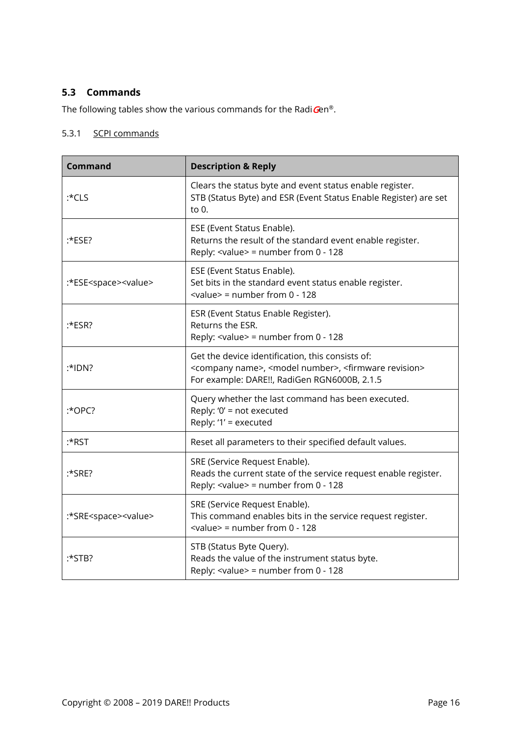# <span id="page-15-0"></span>**5.3 Commands**

The following tables show the various commands for the Radi Gen®.

#### 5.3.1 SCPI commands

| <b>Command</b>                       | <b>Description &amp; Reply</b>                                                                                                                                                                 |
|--------------------------------------|------------------------------------------------------------------------------------------------------------------------------------------------------------------------------------------------|
| $:$ CLS                              | Clears the status byte and event status enable register.<br>STB (Status Byte) and ESR (Event Status Enable Register) are set<br>to $0.$                                                        |
| :*ESE?                               | ESE (Event Status Enable).<br>Returns the result of the standard event enable register.<br>Reply: $\langle$ value $\rangle$ = number from 0 - 128                                              |
| :*ESE <space><value></value></space> | ESE (Event Status Enable).<br>Set bits in the standard event status enable register.<br>$\le$ value> = number from 0 - 128                                                                     |
| $:$ ESR?                             | ESR (Event Status Enable Register).<br>Returns the ESR.<br>Reply: $\langle$ value $\rangle$ = number from 0 - 128                                                                              |
| $:$ *IDN?                            | Get the device identification, this consists of:<br><company name="">, <model number="">, <firmware revision=""><br/>For example: DARE!!, RadiGen RGN6000B, 2.1.5</firmware></model></company> |
| $:$ *OPC?                            | Query whether the last command has been executed.<br>Reply: '0' = not executed<br>Reply: '1' = executed                                                                                        |
| :*RST                                | Reset all parameters to their specified default values.                                                                                                                                        |
| $:$ *SRE?                            | SRE (Service Request Enable).<br>Reads the current state of the service request enable register.<br>Reply: $\langle$ value> = number from 0 - 128                                              |
| :*SRE <space><value></value></space> | SRE (Service Request Enable).<br>This command enables bits in the service request register.<br>$\le$ value> = number from 0 - 128                                                              |
| $:$ *STB?                            | STB (Status Byte Query).<br>Reads the value of the instrument status byte.<br>Reply: $\langle$ value $\rangle$ = number from 0 - 128                                                           |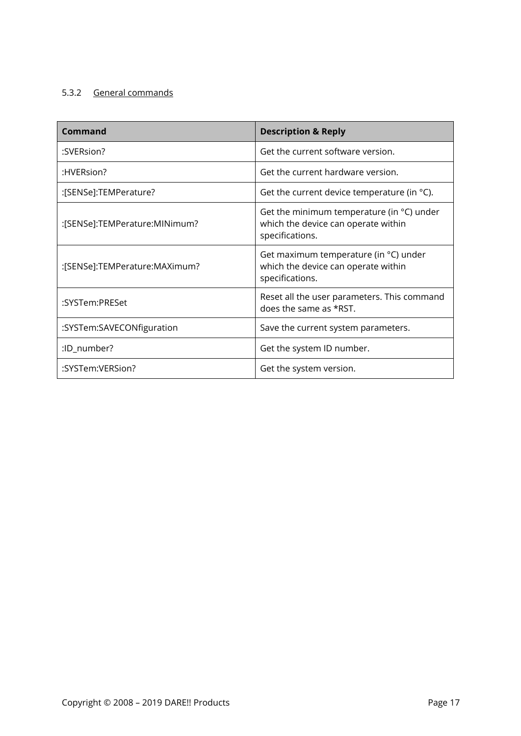# 5.3.2 General commands

| Command                       | <b>Description &amp; Reply</b>                                                                               |
|-------------------------------|--------------------------------------------------------------------------------------------------------------|
| :SVERsion?                    | Get the current software version.                                                                            |
| :HVERsion?                    | Get the current hardware version.                                                                            |
| :[SENSe]:TEMPerature?         | Get the current device temperature (in $\degree$ C).                                                         |
| :[SENSe]:TEMPerature:MINimum? | Get the minimum temperature (in $\degree$ C) under<br>which the device can operate within<br>specifications. |
| :[SENSe]:TEMPerature:MAXimum? | Get maximum temperature (in °C) under<br>which the device can operate within<br>specifications.              |
| :SYSTem:PRESet                | Reset all the user parameters. This command<br>does the same as *RST.                                        |
| :SYSTem:SAVECONfiguration     | Save the current system parameters.                                                                          |
| :ID_number?                   | Get the system ID number.                                                                                    |
| :SYSTem:VERSion?              | Get the system version.                                                                                      |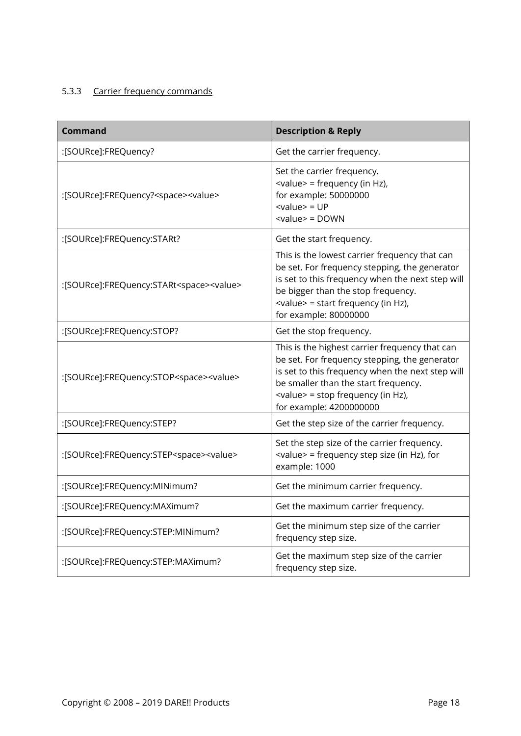# 5.3.3 Carrier frequency commands

| <b>Command</b>                                           | <b>Description &amp; Reply</b>                                                                                                                                                                                                                                       |
|----------------------------------------------------------|----------------------------------------------------------------------------------------------------------------------------------------------------------------------------------------------------------------------------------------------------------------------|
| :[SOURce]:FREQuency?                                     | Get the carrier frequency.                                                                                                                                                                                                                                           |
| :[SOURce]:FREQuency? <space><value></value></space>      | Set the carrier frequency.<br><value> = frequency (in Hz),<br/>for example: 50000000<br/><math>&lt;</math>value<math>&gt;</math> = UP<br/><math>\le</math>value<math>&gt;</math> = DOWN</value>                                                                      |
| :[SOURce]:FREQuency:STARt?                               | Get the start frequency.                                                                                                                                                                                                                                             |
| :[SOURce]:FREQuency:STARt <space><value></value></space> | This is the lowest carrier frequency that can<br>be set. For frequency stepping, the generator<br>is set to this frequency when the next step will<br>be bigger than the stop frequency.<br><value> = start frequency (in Hz),<br/>for example: 80000000</value>     |
| :[SOURce]:FREQuency:STOP?                                | Get the stop frequency.                                                                                                                                                                                                                                              |
| :[SOURce]:FREQuency:STOP <space><value></value></space>  | This is the highest carrier frequency that can<br>be set. For frequency stepping, the generator<br>is set to this frequency when the next step will<br>be smaller than the start frequency.<br><value> = stop frequency (in Hz),<br/>for example: 4200000000</value> |
| :[SOURce]:FREQuency:STEP?                                | Get the step size of the carrier frequency.                                                                                                                                                                                                                          |
| :[SOURce]:FREQuency:STEP <space><value></value></space>  | Set the step size of the carrier frequency.<br><value> = frequency step size (in Hz), for<br/>example: 1000</value>                                                                                                                                                  |
| :[SOURce]:FREQuency:MINimum?                             | Get the minimum carrier frequency.                                                                                                                                                                                                                                   |
| :[SOURce]:FREQuency:MAXimum?                             | Get the maximum carrier frequency.                                                                                                                                                                                                                                   |
| :[SOURce]:FREQuency:STEP:MINimum?                        | Get the minimum step size of the carrier<br>frequency step size.                                                                                                                                                                                                     |
| :[SOURce]:FREQuency:STEP:MAXimum?                        | Get the maximum step size of the carrier<br>frequency step size.                                                                                                                                                                                                     |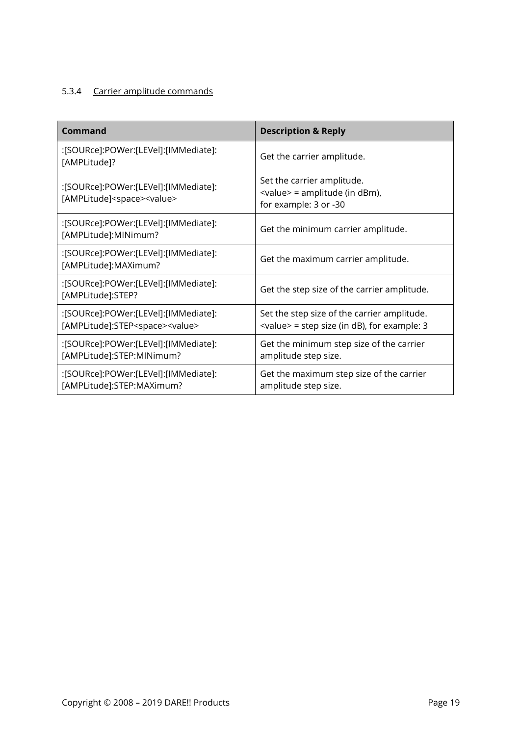# 5.3.4 Carrier amplitude commands

| <b>Command</b>                                                                          | <b>Description &amp; Reply</b>                                                                  |
|-----------------------------------------------------------------------------------------|-------------------------------------------------------------------------------------------------|
| :[SOURce]:POWer:[LEVel]:[IMMediate]:<br>[AMPLitude]?                                    | Get the carrier amplitude.                                                                      |
| :[SOURce]:POWer:[LEVel]:[IMMediate]:<br>[AMPLitude] <space><value></value></space>      | Set the carrier amplitude.<br><value> = amplitude (in dBm),<br/>for example: 3 or -30</value>   |
| :[SOURce]:POWer:[LEVel]:[IMMediate]:<br>[AMPLitude]:MINimum?                            | Get the minimum carrier amplitude.                                                              |
| :[SOURce]:POWer:[LEVel]:[IMMediate]:<br>[AMPLitude]:MAXimum?                            | Get the maximum carrier amplitude.                                                              |
| :[SOURce]:POWer:[LEVel]:[IMMediate]:<br>[AMPLitude]:STEP?                               | Get the step size of the carrier amplitude.                                                     |
| :[SOURce]:POWer:[LEVel]:[IMMediate]:<br>[AMPLitude]:STEP <space><value></value></space> | Set the step size of the carrier amplitude.<br>$\le$ value> = step size (in dB), for example: 3 |
| :[SOURce]:POWer:[LEVel]:[IMMediate]:<br>[AMPLitude]:STEP:MINimum?                       | Get the minimum step size of the carrier<br>amplitude step size.                                |
| :[SOURce]:POWer:[LEVel]:[IMMediate]:<br>[AMPLitude]:STEP:MAXimum?                       | Get the maximum step size of the carrier<br>amplitude step size.                                |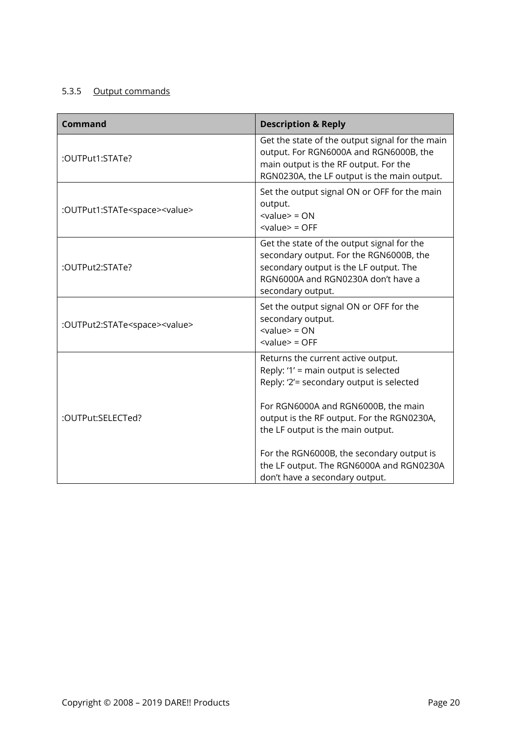# 5.3.5 Output commands

| <b>Command</b>                                | <b>Description &amp; Reply</b>                                                                                                                                                                                                                                                                                                            |  |
|-----------------------------------------------|-------------------------------------------------------------------------------------------------------------------------------------------------------------------------------------------------------------------------------------------------------------------------------------------------------------------------------------------|--|
| :OUTPut1:STATe?                               | Get the state of the output signal for the main<br>output. For RGN6000A and RGN6000B, the<br>main output is the RF output. For the<br>RGN0230A, the LF output is the main output.                                                                                                                                                         |  |
| :OUTPut1:STATe <space><value></value></space> | Set the output signal ON or OFF for the main<br>output.<br>$\langle$ value $\rangle$ = ON<br>$\langle$ value $\rangle$ = OFF                                                                                                                                                                                                              |  |
| :OUTPut2:STATe?                               | Get the state of the output signal for the<br>secondary output. For the RGN6000B, the<br>secondary output is the LF output. The<br>RGN6000A and RGN0230A don't have a<br>secondary output.                                                                                                                                                |  |
| :OUTPut2:STATe <space><value></value></space> | Set the output signal ON or OFF for the<br>secondary output.<br>$\langle$ value $\rangle$ = ON<br>$\langle$ value $\rangle$ = OFF                                                                                                                                                                                                         |  |
| :OUTPut:SELECTed?                             | Returns the current active output.<br>Reply: '1' = main output is selected<br>Reply: '2'= secondary output is selected<br>For RGN6000A and RGN6000B, the main<br>output is the RF output. For the RGN0230A,<br>the LF output is the main output.<br>For the RGN6000B, the secondary output is<br>the LF output. The RGN6000A and RGN0230A |  |
|                                               | don't have a secondary output.                                                                                                                                                                                                                                                                                                            |  |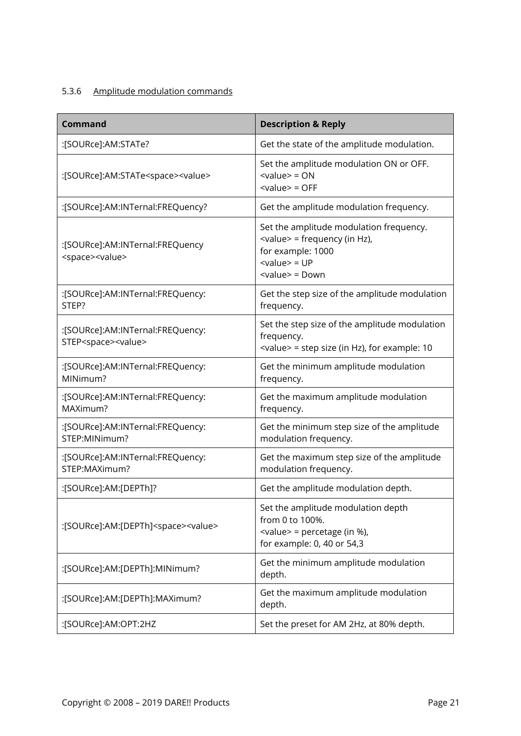# 5.3.6 Amplitude modulation commands

| <b>Command</b>                                                          | <b>Description &amp; Reply</b>                                                                                                                                                    |
|-------------------------------------------------------------------------|-----------------------------------------------------------------------------------------------------------------------------------------------------------------------------------|
| :[SOURce]:AM:STATe?                                                     | Get the state of the amplitude modulation.                                                                                                                                        |
| :[SOURce]:AM:STATe <space><value></value></space>                       | Set the amplitude modulation ON or OFF.<br>$\langle$ value $\rangle$ = ON<br>$<$ value $>$ = OFF                                                                                  |
| :[SOURce]:AM:INTernal:FREQuency?                                        | Get the amplitude modulation frequency.                                                                                                                                           |
| :[SOURce]:AM:INTernal:FREQuency<br><space><value></value></space>       | Set the amplitude modulation frequency.<br><value> = frequency (in Hz),<br/>for example: 1000<br/><math>&lt;</math>value<math>&gt;</math> = UP<br/><value> = Down</value></value> |
| :[SOURce]:AM:INTernal:FREQuency:<br>STEP?                               | Get the step size of the amplitude modulation<br>frequency.                                                                                                                       |
| :[SOURce]:AM:INTernal:FREQuency:<br>STEP <space><value></value></space> | Set the step size of the amplitude modulation<br>frequency.<br><value> = step size (in Hz), for example: 10</value>                                                               |
| :[SOURce]:AM:INTernal:FREQuency:<br>MINimum?                            | Get the minimum amplitude modulation<br>frequency.                                                                                                                                |
| :[SOURce]:AM:INTernal:FREQuency:<br>MAXimum?                            | Get the maximum amplitude modulation<br>frequency.                                                                                                                                |
| :[SOURce]:AM:INTernal:FREQuency:<br>STEP:MINimum?                       | Get the minimum step size of the amplitude<br>modulation frequency.                                                                                                               |
| :[SOURce]:AM:INTernal:FREQuency:<br>STEP:MAXimum?                       | Get the maximum step size of the amplitude<br>modulation frequency.                                                                                                               |
| :[SOURce]:AM:[DEPTh]?                                                   | Get the amplitude modulation depth.                                                                                                                                               |
| :[SOURce]:AM:[DEPTh] <space><value></value></space>                     | Set the amplitude modulation depth<br>from 0 to 100%.<br><value> = percetage (in %),<br/>for example: 0, 40 or 54,3</value>                                                       |
| :[SOURce]:AM:[DEPTh]:MINimum?                                           | Get the minimum amplitude modulation<br>depth.                                                                                                                                    |
| :[SOURce]:AM:[DEPTh]:MAXimum?                                           | Get the maximum amplitude modulation<br>depth.                                                                                                                                    |
| :[SOURce]:AM:OPT:2HZ                                                    | Set the preset for AM 2Hz, at 80% depth.                                                                                                                                          |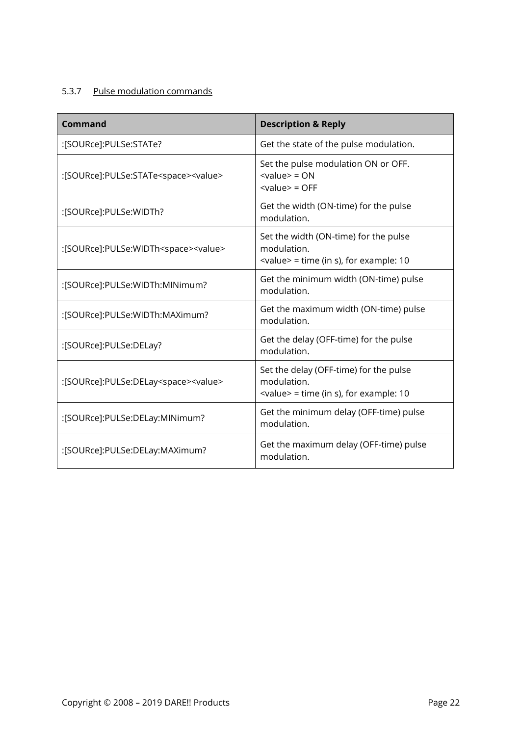# 5.3.7 Pulse modulation commands

| Command                                              | <b>Description &amp; Reply</b>                                                                                  |
|------------------------------------------------------|-----------------------------------------------------------------------------------------------------------------|
| :[SOURce]:PULSe:STATe?                               | Get the state of the pulse modulation.                                                                          |
| :[SOURce]:PULSe:STATe <space><value></value></space> | Set the pulse modulation ON or OFF.<br>$\langle$ value $\rangle$ = ON<br>$\langle$ value $\rangle$ = OFF        |
| :[SOURce]:PULSe:WIDTh?                               | Get the width (ON-time) for the pulse<br>modulation.                                                            |
| :[SOURce]:PULSe:WIDTh <space><value></value></space> | Set the width (ON-time) for the pulse<br>modulation.<br>$\alpha$ <value> = time (in s), for example: 10</value> |
| :[SOURce]:PULSe:WIDTh:MINimum?                       | Get the minimum width (ON-time) pulse<br>modulation.                                                            |
| :[SOURce]:PULSe:WIDTh:MAXimum?                       | Get the maximum width (ON-time) pulse<br>modulation.                                                            |
| :[SOURce]:PULSe:DELay?                               | Get the delay (OFF-time) for the pulse<br>modulation.                                                           |
| :[SOURce]:PULSe:DELay <space><value></value></space> | Set the delay (OFF-time) for the pulse<br>modulation.<br><value> = time (in s), for example: 10</value>         |
| :[SOURce]:PULSe:DELay:MINimum?                       | Get the minimum delay (OFF-time) pulse<br>modulation.                                                           |
| :[SOURce]:PULSe:DELay:MAXimum?                       | Get the maximum delay (OFF-time) pulse<br>modulation.                                                           |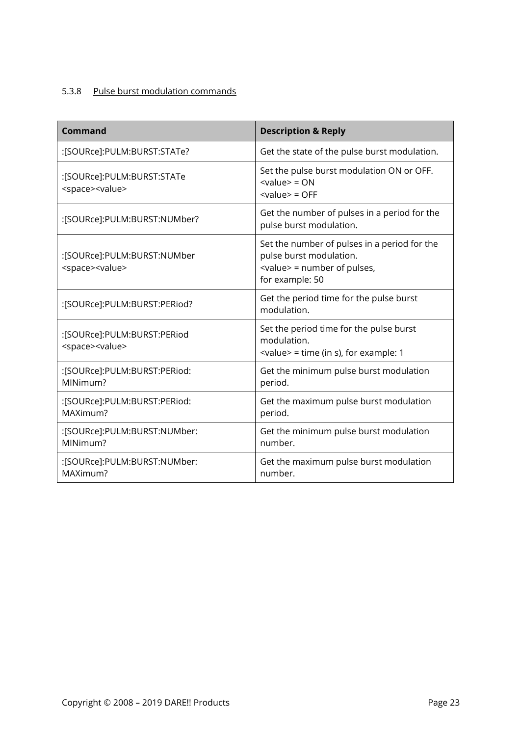# 5.3.8 Pulse burst modulation commands

| <b>Command</b>                                                | <b>Description &amp; Reply</b>                                                                                                     |
|---------------------------------------------------------------|------------------------------------------------------------------------------------------------------------------------------------|
| :[SOURce]:PULM:BURST:STATe?                                   | Get the state of the pulse burst modulation.                                                                                       |
| :[SOURce]:PULM:BURST:STATe<br><space><value></value></space>  | Set the pulse burst modulation ON or OFF.<br>$\langle$ value $\rangle$ = ON<br>$<$ value $>$ = OFF                                 |
| :[SOURce]:PULM:BURST:NUMber?                                  | Get the number of pulses in a period for the<br>pulse burst modulation.                                                            |
| :[SOURce]:PULM:BURST:NUMber<br><space><value></value></space> | Set the number of pulses in a period for the<br>pulse burst modulation.<br><value> = number of pulses,<br/>for example: 50</value> |
| :[SOURce]:PULM:BURST:PERiod?                                  | Get the period time for the pulse burst<br>modulation.                                                                             |
| :[SOURce]:PULM:BURST:PERiod<br><space><value></value></space> | Set the period time for the pulse burst<br>modulation.<br>$\le$ value> = time (in s), for example: 1                               |
| :[SOURce]:PULM:BURST:PERiod:<br>MINimum?                      | Get the minimum pulse burst modulation<br>period.                                                                                  |
| :[SOURce]:PULM:BURST:PERiod:<br>MAXimum?                      | Get the maximum pulse burst modulation<br>period.                                                                                  |
| :[SOURce]:PULM:BURST:NUMber:<br>MINimum?                      | Get the minimum pulse burst modulation<br>number.                                                                                  |
| :[SOURce]:PULM:BURST:NUMber:<br>MAXimum?                      | Get the maximum pulse burst modulation<br>number.                                                                                  |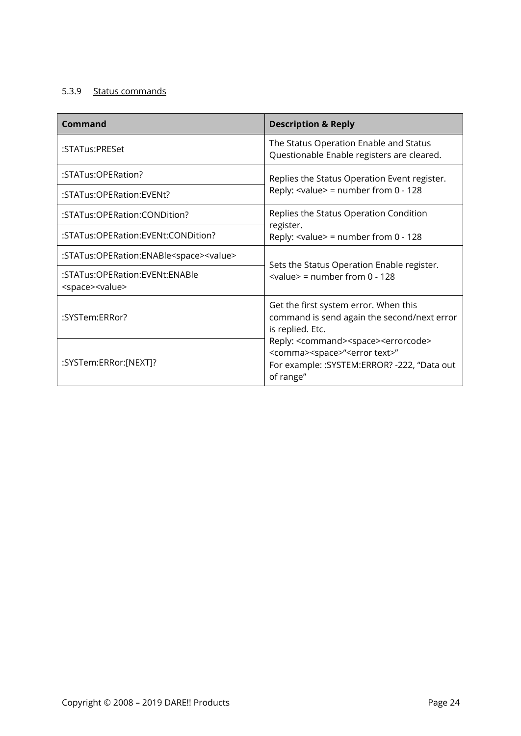# 5.3.9 Status commands

| Command                                                          | <b>Description &amp; Reply</b>                                                                                                                                                     |
|------------------------------------------------------------------|------------------------------------------------------------------------------------------------------------------------------------------------------------------------------------|
| :STATus:PRESet                                                   | The Status Operation Enable and Status<br>Questionable Enable registers are cleared.                                                                                               |
| :STATus:OPERation?                                               | Replies the Status Operation Event register.                                                                                                                                       |
| :STATus:OPERation:EVENt?                                         | Reply: $\langle$ value $\rangle$ = number from 0 - 128                                                                                                                             |
| :STATus:OPERation:CONDition?                                     | Replies the Status Operation Condition                                                                                                                                             |
| :STATus:OPERation:EVENt:CONDition?                               | register.<br>Reply: $\langle$ value $\rangle$ = number from 0 - 128                                                                                                                |
| :STATus:OPERation:ENABle <space><value></value></space>          | Sets the Status Operation Enable register.                                                                                                                                         |
| :STATus:OPERation:EVENt:ENABle<br><space><value></value></space> | $\alpha$ alue> = number from 0 - 128                                                                                                                                               |
| :SYSTem:ERRor?                                                   | Get the first system error. When this<br>command is send again the second/next error<br>is replied. Etc.                                                                           |
| :SYSTem:ERRor:[NEXT]?                                            | Reply: <command/> <space><errorcode><br/><comma><space>"<error text="">"<br/>For example: :SYSTEM:ERROR? -222, "Data out<br/>of range"</error></space></comma></errorcode></space> |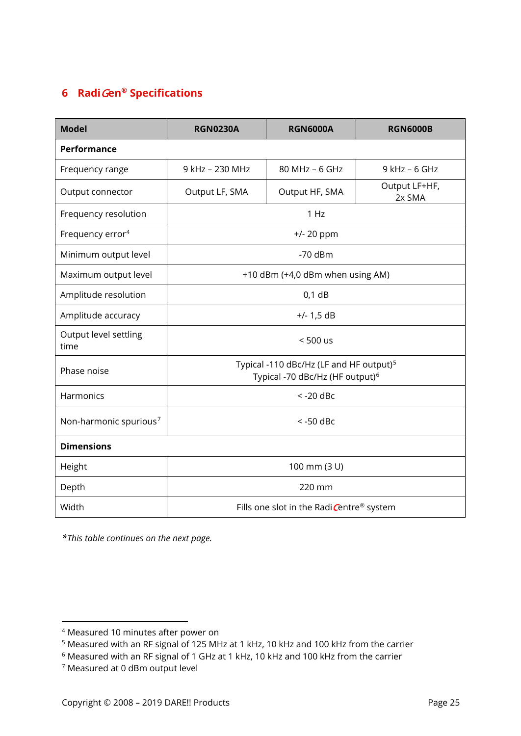# <span id="page-24-0"></span>**6 Radi**G**en® Specifications**

| <b>Model</b>                       | <b>RGN0230A</b>                                                                                    | <b>RGN6000A</b> | <b>RGN6000B</b>         |
|------------------------------------|----------------------------------------------------------------------------------------------------|-----------------|-------------------------|
| <b>Performance</b>                 |                                                                                                    |                 |                         |
| Frequency range                    | 9 kHz - 230 MHz                                                                                    | 80 MHz - 6 GHz  | $9$ kHz - 6 GHz         |
| Output connector                   | Output LF, SMA                                                                                     | Output HF, SMA  | Output LF+HF,<br>2x SMA |
| Frequency resolution               | 1 Hz                                                                                               |                 |                         |
| Frequency error <sup>4</sup>       | $+/- 20$ ppm                                                                                       |                 |                         |
| Minimum output level               | $-70$ dBm                                                                                          |                 |                         |
| Maximum output level               | +10 dBm (+4,0 dBm when using AM)                                                                   |                 |                         |
| Amplitude resolution               | $0,1$ dB                                                                                           |                 |                         |
| Amplitude accuracy                 | $+/- 1,5$ dB                                                                                       |                 |                         |
| Output level settling<br>time      | $< 500$ us                                                                                         |                 |                         |
| Phase noise                        | Typical -110 dBc/Hz (LF and HF output) <sup>5</sup><br>Typical -70 dBc/Hz (HF output) <sup>6</sup> |                 |                         |
| Harmonics                          | $<$ -20 dBc                                                                                        |                 |                         |
| Non-harmonic spurious <sup>7</sup> | $<$ -50 dBc                                                                                        |                 |                         |
| <b>Dimensions</b>                  |                                                                                                    |                 |                         |
| Height                             | 100 mm (3 U)                                                                                       |                 |                         |
| Depth                              | 220 mm                                                                                             |                 |                         |
| Width                              | Fills one slot in the Radi Centre® system                                                          |                 |                         |

*\*This table continues on the next page.*

 $\overline{a}$ 

<span id="page-24-1"></span><sup>4</sup> Measured 10 minutes after power on

<span id="page-24-2"></span><sup>5</sup> Measured with an RF signal of 125 MHz at 1 kHz, 10 kHz and 100 kHz from the carrier

<span id="page-24-3"></span><sup>6</sup> Measured with an RF signal of 1 GHz at 1 kHz, 10 kHz and 100 kHz from the carrier

<span id="page-24-4"></span><sup>7</sup> Measured at 0 dBm output level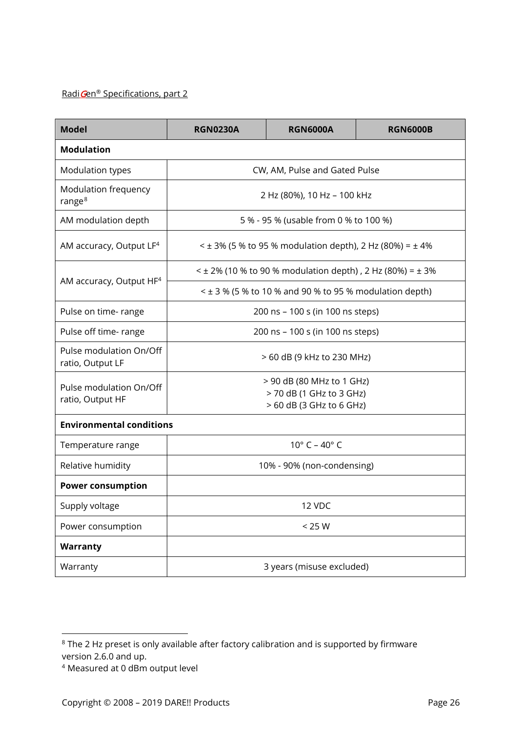# Radi Gen® Specifications, part 2

| <b>Model</b>                                | <b>RGN0230A</b>                                                                   | <b>RGN6000A</b> | <b>RGN6000B</b> |
|---------------------------------------------|-----------------------------------------------------------------------------------|-----------------|-----------------|
| <b>Modulation</b>                           |                                                                                   |                 |                 |
| Modulation types                            | CW, AM, Pulse and Gated Pulse                                                     |                 |                 |
| Modulation frequency<br>range <sup>8</sup>  | 2 Hz (80%), 10 Hz - 100 kHz                                                       |                 |                 |
| AM modulation depth                         | 5 % - 95 % (usable from 0 % to 100 %)                                             |                 |                 |
| AM accuracy, Output LF <sup>4</sup>         | $\leq$ ± 3% (5 % to 95 % modulation depth), 2 Hz (80%) = ± 4%                     |                 |                 |
| AM accuracy, Output HF <sup>4</sup>         | $\leq$ ± 2% (10 % to 90 % modulation depth), 2 Hz (80%) = ± 3%                    |                 |                 |
|                                             | $\leq$ ± 3 % (5 % to 10 % and 90 % to 95 % modulation depth)                      |                 |                 |
| Pulse on time- range                        | 200 ns - 100 s (in 100 ns steps)                                                  |                 |                 |
| Pulse off time- range                       | 200 ns - 100 s (in 100 ns steps)                                                  |                 |                 |
| Pulse modulation On/Off<br>ratio, Output LF | > 60 dB (9 kHz to 230 MHz)                                                        |                 |                 |
| Pulse modulation On/Off<br>ratio, Output HF | > 90 dB (80 MHz to 1 GHz)<br>> 70 dB (1 GHz to 3 GHz)<br>> 60 dB (3 GHz to 6 GHz) |                 |                 |
| <b>Environmental conditions</b>             |                                                                                   |                 |                 |
| Temperature range                           | $10^{\circ}$ C – $40^{\circ}$ C                                                   |                 |                 |
| Relative humidity                           | 10% - 90% (non-condensing)                                                        |                 |                 |
| <b>Power consumption</b>                    |                                                                                   |                 |                 |
| Supply voltage                              | 12 VDC                                                                            |                 |                 |
| Power consumption                           | < 25 W                                                                            |                 |                 |
| Warranty                                    |                                                                                   |                 |                 |
| Warranty                                    | 3 years (misuse excluded)                                                         |                 |                 |

<span id="page-25-0"></span> $\overline{a}$  $8$  The 2 Hz preset is only available after factory calibration and is supported by firmware version 2.6.0 and up.

<sup>4</sup> Measured at 0 dBm output level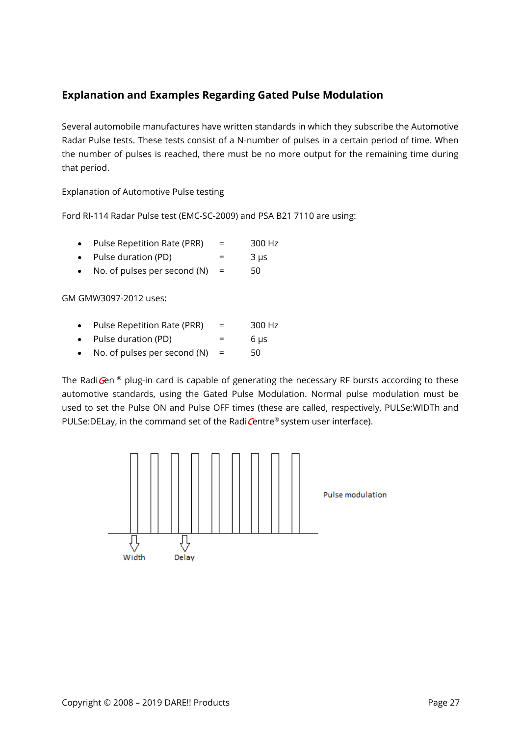# <span id="page-26-0"></span>**Explanation and Examples Regarding Gated Pulse Modulation**

Several automobile manufactures have written standards in which they subscribe the Automotive Radar Pulse tests. These tests consist of a N-number of pulses in a certain period of time. When the number of pulses is reached, there must be no more output for the remaining time during that period.

#### Explanation of Automotive Pulse testing

Ford RI-114 Radar Pulse test (EMC-SC-2009) and PSA B21 7110 are using:

| Pulse Repetition Rate (PRR) | 300 Hz |
|-----------------------------|--------|
|                             |        |

- Pulse duration (PD)  $=$  3  $\mu$ s
- No. of pulses per second  $(N)$  = 50

GM GMW3097-2012 uses:

- Pulse Repetition Rate (PRR) = 300 Hz
- Pulse duration (PD)  $=$  6  $\mu$ s
- No. of pulses per second  $(N)$  = 50

The RadiGen  $\mathcal{C}$  plug-in card is capable of generating the necessary RF bursts according to these automotive standards, using the Gated Pulse Modulation. Normal pulse modulation must be used to set the Pulse ON and Pulse OFF times (these are called, respectively, PULSe:WIDTh and PULSe: DELay, in the command set of the Radi Centre<sup>®</sup> system user interface).

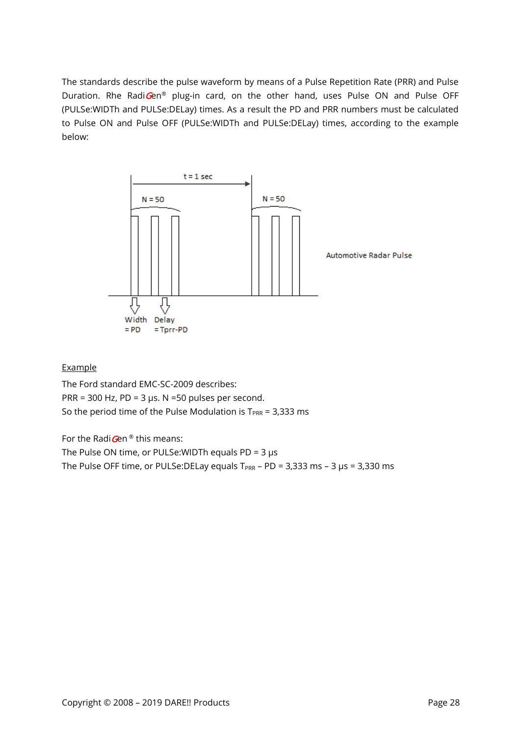The standards describe the pulse waveform by means of a Pulse Repetition Rate (PRR) and Pulse Duration. Rhe RadiGen® plug-in card, on the other hand, uses Pulse ON and Pulse OFF (PULSe:WIDTh and PULSe:DELay) times. As a result the PD and PRR numbers must be calculated to Pulse ON and Pulse OFF (PULSe:WIDTh and PULSe:DELay) times, according to the example below:



#### Example

The Ford standard EMC-SC-2009 describes: PRR = 300 Hz, PD = 3  $\mu$ s. N = 50 pulses per second. So the period time of the Pulse Modulation is  $T_{PRR} = 3,333$  ms

For the Radi $G$ en ® this means:

The Pulse ON time, or PULSe: WIDTh equals  $PD = 3 \mu s$ 

The Pulse OFF time, or PULSe:DELay equals  $T_{PRR}$  – PD = 3,333 ms – 3  $\mu$ s = 3,330 ms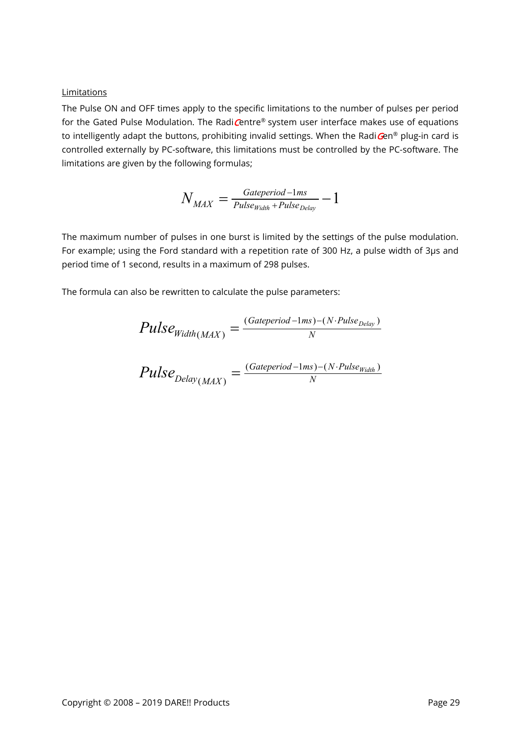#### Limitations

The Pulse ON and OFF times apply to the specific limitations to the number of pulses per period for the Gated Pulse Modulation. The RadiCentre® system user interface makes use of equations to intelligently adapt the buttons, prohibiting invalid settings. When the Radi $\mathbf{G}$ en® plug-in card is controlled externally by PC-software, this limitations must be controlled by the PC-software. The limitations are given by the following formulas;

$$
N_{MAX} = \frac{Gategorical - 1ms}{Pulse_{Width} + Pulse_{Delay}} - 1
$$

The maximum number of pulses in one burst is limited by the settings of the pulse modulation. For example; using the Ford standard with a repetition rate of 300 Hz, a pulse width of 3µs and period time of 1 second, results in a maximum of 298 pulses.

The formula can also be rewritten to calculate the pulse parameters:

$$
Pulse_{Width(MAX)} = \frac{(Gategorical - 1ms) - (N \cdot Pulse_{Delay})}{N}
$$
  

$$
Pulse_{Delay(MAX)} = \frac{(Gategorical - 1ms) - (N \cdot Pulse_{Width})}{N}
$$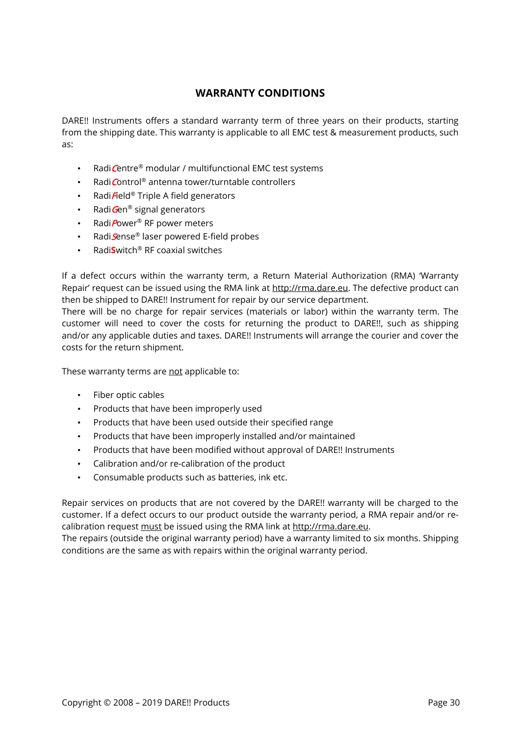# **WARRANTY CONDITIONS**

<span id="page-29-0"></span>DARE!! Instruments offers a standard warranty term of three years on their products, starting from the shipping date. This warranty is applicable to all EMC test & measurement products, such as:

- Radi Centre® modular / multifunctional EMC test systems
- RadiControl® antenna tower/turntable controllers
- Radi $\bar{F}$ eld® Triple A field generators
- Radi $Gen^{\circledR}$  signal generators
- Radi $P$ ower<sup>®</sup> RF power meters
- Radi*S*ense® laser powered E-field probes
- Radi**S**witch® RF coaxial switches

If a defect occurs within the warranty term, a Return Material Authorization (RMA) 'Warranty Repair' request can be issued using the RMA link at [http://rma.dare.eu.](http://rma.dare.eu/) The defective product can then be shipped to DARE!! Instrument for repair by our service department.

There will be no charge for repair services (materials or labor) within the warranty term. The customer will need to cover the costs for returning the product to DARE!!, such as shipping and/or any applicable duties and taxes. DARE!! Instruments will arrange the courier and cover the costs for the return shipment.

These warranty terms are not applicable to:

- Fiber optic cables
- Products that have been improperly used
- Products that have been used outside their specified range
- Products that have been improperly installed and/or maintained
- Products that have been modified without approval of DARE!! Instruments
- Calibration and/or re-calibration of the product
- Consumable products such as batteries, ink etc.

Repair services on products that are not covered by the DARE!! warranty will be charged to the customer. If a defect occurs to our product outside the warranty period, a RMA repair and/or recalibration request must be issued using the RMA link at [http://rma.dare.eu.](http://rma.dare.eu/)

The repairs (outside the original warranty period) have a warranty limited to six months. Shipping conditions are the same as with repairs within the original warranty period.